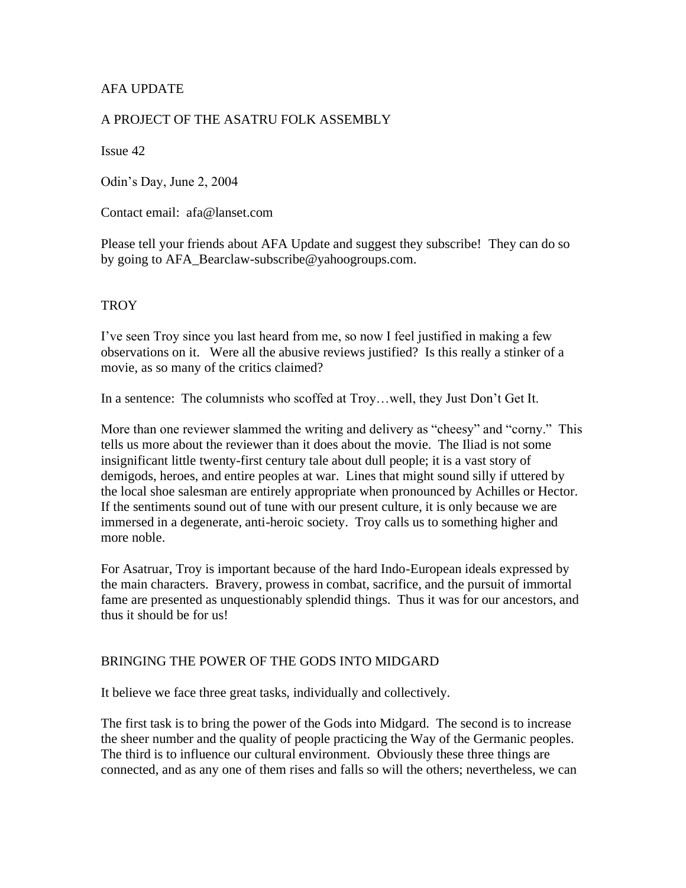# AFA UPDATE

### A PROJECT OF THE ASATRU FOLK ASSEMBLY

Issue 42

Odin's Day, June 2, 2004

Contact email: afa@lanset.com

Please tell your friends about AFA Update and suggest they subscribe! They can do so by going to AFA\_Bearclaw-subscribe@yahoogroups.com.

### **TROY**

I've seen Troy since you last heard from me, so now I feel justified in making a few observations on it. Were all the abusive reviews justified? Is this really a stinker of a movie, as so many of the critics claimed?

In a sentence: The columnists who scoffed at Troy…well, they Just Don't Get It.

More than one reviewer slammed the writing and delivery as "cheesy" and "corny." This tells us more about the reviewer than it does about the movie. The Iliad is not some insignificant little twenty-first century tale about dull people; it is a vast story of demigods, heroes, and entire peoples at war. Lines that might sound silly if uttered by the local shoe salesman are entirely appropriate when pronounced by Achilles or Hector. If the sentiments sound out of tune with our present culture, it is only because we are immersed in a degenerate, anti-heroic society. Troy calls us to something higher and more noble.

For Asatruar, Troy is important because of the hard Indo-European ideals expressed by the main characters. Bravery, prowess in combat, sacrifice, and the pursuit of immortal fame are presented as unquestionably splendid things. Thus it was for our ancestors, and thus it should be for us!

### BRINGING THE POWER OF THE GODS INTO MIDGARD

It believe we face three great tasks, individually and collectively.

The first task is to bring the power of the Gods into Midgard. The second is to increase the sheer number and the quality of people practicing the Way of the Germanic peoples. The third is to influence our cultural environment. Obviously these three things are connected, and as any one of them rises and falls so will the others; nevertheless, we can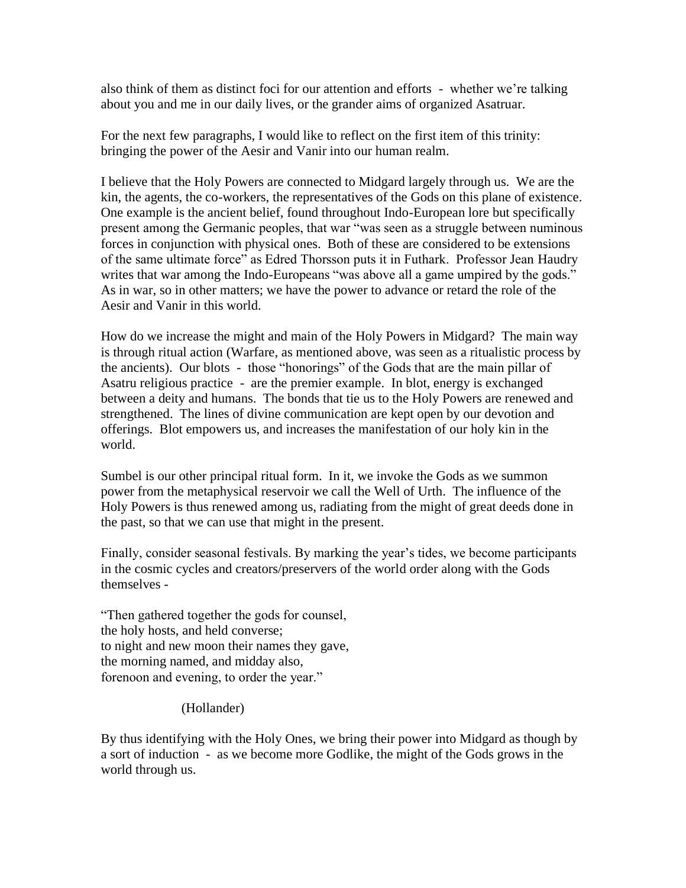also think of them as distinct foci for our attention and efforts - whether we're talking about you and me in our daily lives, or the grander aims of organized Asatruar.

For the next few paragraphs, I would like to reflect on the first item of this trinity: bringing the power of the Aesir and Vanir into our human realm.

I believe that the Holy Powers are connected to Midgard largely through us. We are the kin, the agents, the co-workers, the representatives of the Gods on this plane of existence. One example is the ancient belief, found throughout Indo-European lore but specifically present among the Germanic peoples, that war "was seen as a struggle between numinous forces in conjunction with physical ones. Both of these are considered to be extensions of the same ultimate force" as Edred Thorsson puts it in Futhark. Professor Jean Haudry writes that war among the Indo-Europeans "was above all a game umpired by the gods." As in war, so in other matters; we have the power to advance or retard the role of the Aesir and Vanir in this world.

How do we increase the might and main of the Holy Powers in Midgard? The main way is through ritual action (Warfare, as mentioned above, was seen as a ritualistic process by the ancients). Our blots - those "honorings" of the Gods that are the main pillar of Asatru religious practice - are the premier example. In blot, energy is exchanged between a deity and humans. The bonds that tie us to the Holy Powers are renewed and strengthened. The lines of divine communication are kept open by our devotion and offerings. Blot empowers us, and increases the manifestation of our holy kin in the world.

Sumbel is our other principal ritual form. In it, we invoke the Gods as we summon power from the metaphysical reservoir we call the Well of Urth. The influence of the Holy Powers is thus renewed among us, radiating from the might of great deeds done in the past, so that we can use that might in the present.

Finally, consider seasonal festivals. By marking the year's tides, we become participants in the cosmic cycles and creators/preservers of the world order along with the Gods themselves -

"Then gathered together the gods for counsel, the holy hosts, and held converse; to night and new moon their names they gave, the morning named, and midday also, forenoon and evening, to order the year."

# (Hollander)

By thus identifying with the Holy Ones, we bring their power into Midgard as though by a sort of induction - as we become more Godlike, the might of the Gods grows in the world through us.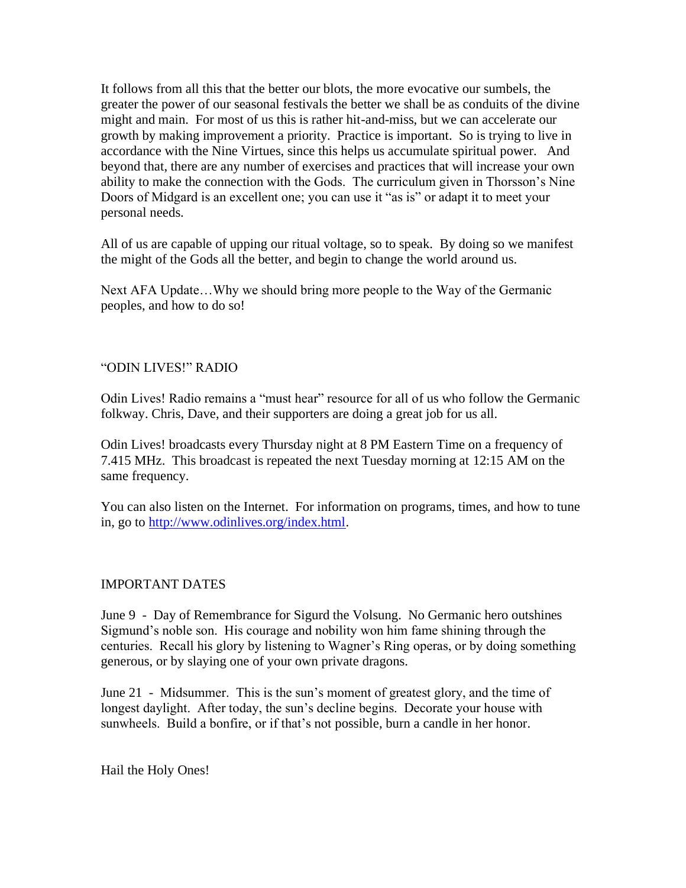It follows from all this that the better our blots, the more evocative our sumbels, the greater the power of our seasonal festivals the better we shall be as conduits of the divine might and main. For most of us this is rather hit-and-miss, but we can accelerate our growth by making improvement a priority. Practice is important. So is trying to live in accordance with the Nine Virtues, since this helps us accumulate spiritual power. And beyond that, there are any number of exercises and practices that will increase your own ability to make the connection with the Gods. The curriculum given in Thorsson's Nine Doors of Midgard is an excellent one; you can use it "as is" or adapt it to meet your personal needs.

All of us are capable of upping our ritual voltage, so to speak. By doing so we manifest the might of the Gods all the better, and begin to change the world around us.

Next AFA Update…Why we should bring more people to the Way of the Germanic peoples, and how to do so!

### "ODIN LIVES!" RADIO

Odin Lives! Radio remains a "must hear" resource for all of us who follow the Germanic folkway. Chris, Dave, and their supporters are doing a great job for us all.

Odin Lives! broadcasts every Thursday night at 8 PM Eastern Time on a frequency of 7.415 MHz. This broadcast is repeated the next Tuesday morning at 12:15 AM on the same frequency.

You can also listen on the Internet. For information on programs, times, and how to tune in, go to [http://www.odinlives.org/index.html.](http://www.odinlives.org/index.html)

#### IMPORTANT DATES

June 9 - Day of Remembrance for Sigurd the Volsung. No Germanic hero outshines Sigmund's noble son. His courage and nobility won him fame shining through the centuries. Recall his glory by listening to Wagner's Ring operas, or by doing something generous, or by slaying one of your own private dragons.

June 21 - Midsummer. This is the sun's moment of greatest glory, and the time of longest daylight. After today, the sun's decline begins. Decorate your house with sunwheels. Build a bonfire, or if that's not possible, burn a candle in her honor.

Hail the Holy Ones!